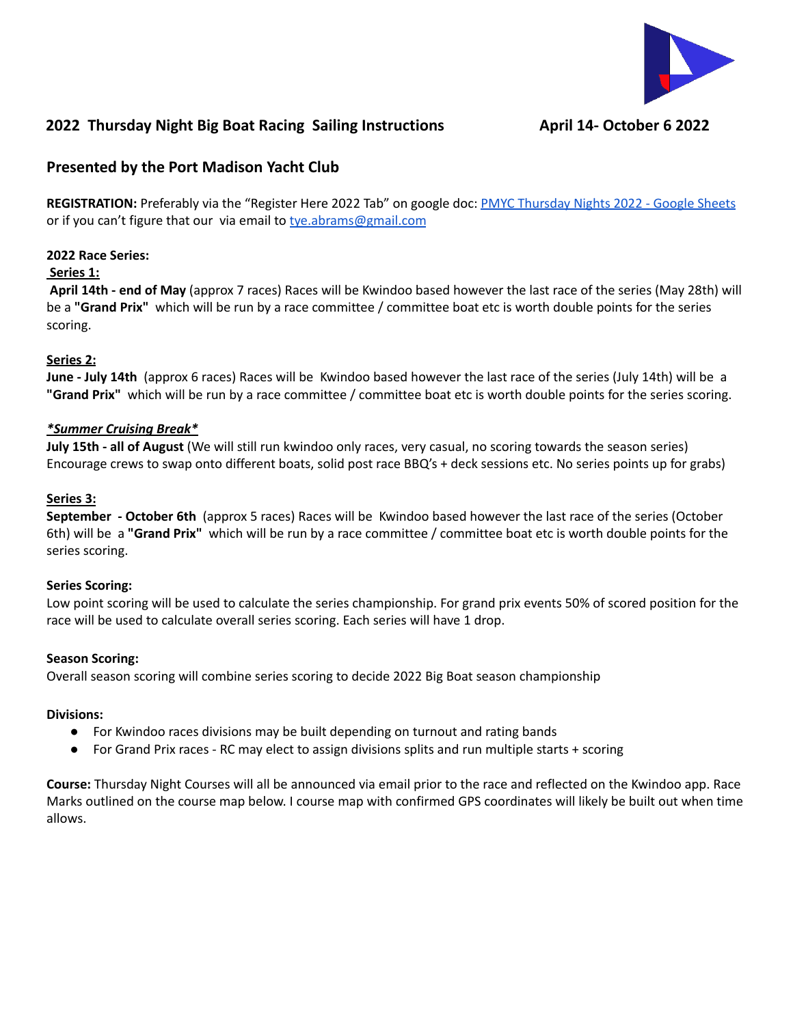

# **2022 Thursday Night Big Boat Racing Sailing Instructions April 14- October 6 2022**

## **Presented by the Port Madison Yacht Club**

**REGISTRATION:** Preferably via the "Register Here 2022 Tab" on google doc: PMYC [Thursday](https://docs.google.com/spreadsheets/d/1fFdXd6D1wySNySMWGziQa9W5IfiGmrPPYylcBr52TL8/edit#gid=0) Nights 2022 - Google Sheets or if you can't figure that our via email to [tye.abrams@gmail.com](mailto:tye.abrams@gmail.com)

## **2022 Race Series:**

#### **Series 1:**

**April 14th - end of May** (approx 7 races) Races will be Kwindoo based however the last race of the series (May 28th) will be a **"Grand Prix"** which will be run by a race committee / committee boat etc is worth double points for the series scoring.

## **Series 2:**

**June - July 14th** (approx 6 races) Races will be Kwindoo based however the last race of the series (July 14th) will be a **"Grand Prix"** which will be run by a race committee / committee boat etc is worth double points for the series scoring.

## *\*Summer Cruising Break\**

**July 15th - all of August** (We will still run kwindoo only races, very casual, no scoring towards the season series) Encourage crews to swap onto different boats, solid post race BBQ's + deck sessions etc. No series points up for grabs)

## **Series 3:**

**September - October 6th** (approx 5 races) Races will be Kwindoo based however the last race of the series (October 6th) will be a **"Grand Prix"** which will be run by a race committee / committee boat etc is worth double points for the series scoring.

## **Series Scoring:**

Low point scoring will be used to calculate the series championship. For grand prix events 50% of scored position for the race will be used to calculate overall series scoring. Each series will have 1 drop.

## **Season Scoring:**

Overall season scoring will combine series scoring to decide 2022 Big Boat season championship

## **Divisions:**

- For Kwindoo races divisions may be built depending on turnout and rating bands
- For Grand Prix races RC may elect to assign divisions splits and run multiple starts + scoring

**Course:** Thursday Night Courses will all be announced via email prior to the race and reflected on the Kwindoo app. Race Marks outlined on the course map below. I course map with confirmed GPS coordinates will likely be built out when time allows.